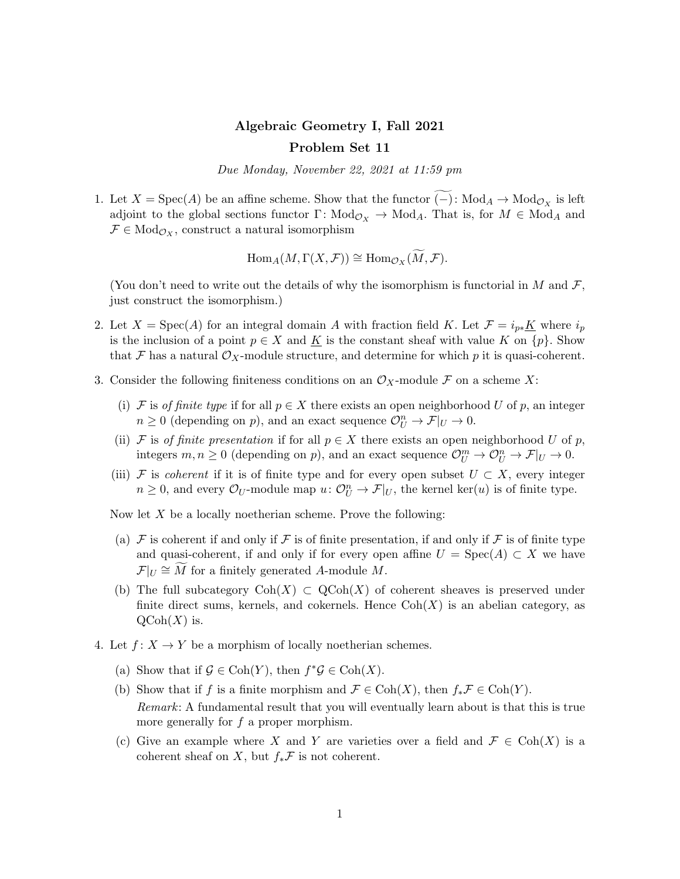## Algebraic Geometry I, Fall 2021 Problem Set 11

Due Monday, November 22, 2021 at 11:59 pm

1. Let  $X = \text{Spec}(A)$  be an affine scheme. Show that the functor  $(-)$ : Mod<sub>A</sub> → Mod<sub>O<sub>X</sub></sub> is left adjoint to the global sections functor  $\Gamma: Mod_{\mathcal{O}_X} \to Mod_A$ . That is, for  $M \in Mod_A$  and  $\mathcal{F} \in Mod_{\mathcal{O}_X}$ , construct a natural isomorphism

 $\text{Hom}_A(M,\Gamma(X,\mathcal{F})) \cong \text{Hom}_{\mathcal{O}_X}(\widetilde{M},\mathcal{F}).$ 

(You don't need to write out the details of why the isomorphism is functorial in M and  $\mathcal{F}$ , just construct the isomorphism.)

- 2. Let  $X = \text{Spec}(A)$  for an integral domain A with fraction field K. Let  $\mathcal{F} = i_{p*}K$  where  $i_p$ is the inclusion of a point  $p \in X$  and  $\underline{K}$  is the constant sheaf with value K on  $\{p\}$ . Show that F has a natural  $\mathcal{O}_X$ -module structure, and determine for which p it is quasi-coherent.
- 3. Consider the following finiteness conditions on an  $\mathcal{O}_X$ -module F on a scheme X:
	- (i) F is of finite type if for all  $p \in X$  there exists an open neighborhood U of p, an integer  $n \geq 0$  (depending on p), and an exact sequence  $\mathcal{O}_{U}^{n} \to \mathcal{F}|_{U} \to 0$ .
	- (ii) F is of finite presentation if for all  $p \in X$  there exists an open neighborhood U of p, integers  $m, n \geq 0$  (depending on p), and an exact sequence  $\mathcal{O}_{U}^{m} \to \mathcal{O}_{U}^{n} \to \mathcal{F}|_{U} \to 0$ .
	- (iii) F is coherent if it is of finite type and for every open subset  $U \subset X$ , every integer  $n \geq 0$ , and every  $\mathcal{O}_U$ -module map  $u: \mathcal{O}_U^n \to \mathcal{F}|_U$ , the kernel ker $(u)$  is of finite type.

Now let  $X$  be a locally noetherian scheme. Prove the following:

- (a)  $\mathcal F$  is coherent if and only if  $\mathcal F$  is of finite presentation, if and only if  $\mathcal F$  is of finite type and quasi-coherent, if and only if for every open affine  $U = \text{Spec}(A) \subset X$  we have  $\mathcal{F}|_U \cong \widetilde{M}$  for a finitely generated A-module M.
- (b) The full subcategory  $\text{Coh}(X) \subset \text{QCoh}(X)$  of coherent sheaves is preserved under finite direct sums, kernels, and cokernels. Hence  $\text{Coh}(X)$  is an abelian category, as  $\mathrm{QCoh}(X)$  is.
- 4. Let  $f: X \to Y$  be a morphism of locally noetherian schemes.
	- (a) Show that if  $\mathcal{G} \in \text{Coh}(Y)$ , then  $f^* \mathcal{G} \in \text{Coh}(X)$ .
	- (b) Show that if f is a finite morphism and  $\mathcal{F} \in \text{Coh}(X)$ , then  $f_*\mathcal{F} \in \text{Coh}(Y)$ . Remark: A fundamental result that you will eventually learn about is that this is true more generally for  $f$  a proper morphism.
	- (c) Give an example where X and Y are varieties over a field and  $\mathcal{F} \in \text{Coh}(X)$  is a coherent sheaf on  $X$ , but  $f_*\mathcal{F}$  is not coherent.